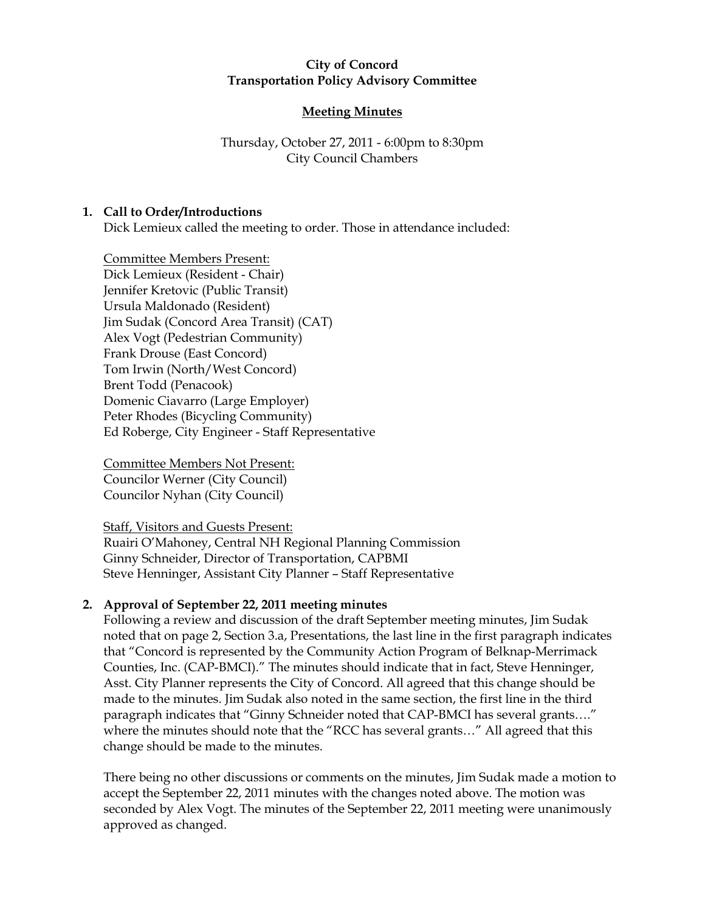#### City of Concord Transportation Policy Advisory Committee

## Meeting Minutes

## Thursday, October 27, 2011 - 6:00pm to 8:30pm City Council Chambers

## 1. Call to Order/Introductions

Dick Lemieux called the meeting to order. Those in attendance included:

Committee Members Present: Dick Lemieux (Resident - Chair) Jennifer Kretovic (Public Transit) Ursula Maldonado (Resident) Jim Sudak (Concord Area Transit) (CAT) Alex Vogt (Pedestrian Community) Frank Drouse (East Concord) Tom Irwin (North/West Concord) Brent Todd (Penacook) Domenic Ciavarro (Large Employer) Peter Rhodes (Bicycling Community) Ed Roberge, City Engineer - Staff Representative

Committee Members Not Present: Councilor Werner (City Council) Councilor Nyhan (City Council)

Staff, Visitors and Guests Present:

Ruairi O'Mahoney, Central NH Regional Planning Commission Ginny Schneider, Director of Transportation, CAPBMI Steve Henninger, Assistant City Planner – Staff Representative

## 2. Approval of September 22, 2011 meeting minutes

Following a review and discussion of the draft September meeting minutes, Jim Sudak noted that on page 2, Section 3.a, Presentations, the last line in the first paragraph indicates that "Concord is represented by the Community Action Program of Belknap-Merrimack Counties, Inc. (CAP-BMCI)." The minutes should indicate that in fact, Steve Henninger, Asst. City Planner represents the City of Concord. All agreed that this change should be made to the minutes. Jim Sudak also noted in the same section, the first line in the third paragraph indicates that "Ginny Schneider noted that CAP-BMCI has several grants…." where the minutes should note that the "RCC has several grants…" All agreed that this change should be made to the minutes.

There being no other discussions or comments on the minutes, Jim Sudak made a motion to accept the September 22, 2011 minutes with the changes noted above. The motion was seconded by Alex Vogt. The minutes of the September 22, 2011 meeting were unanimously approved as changed.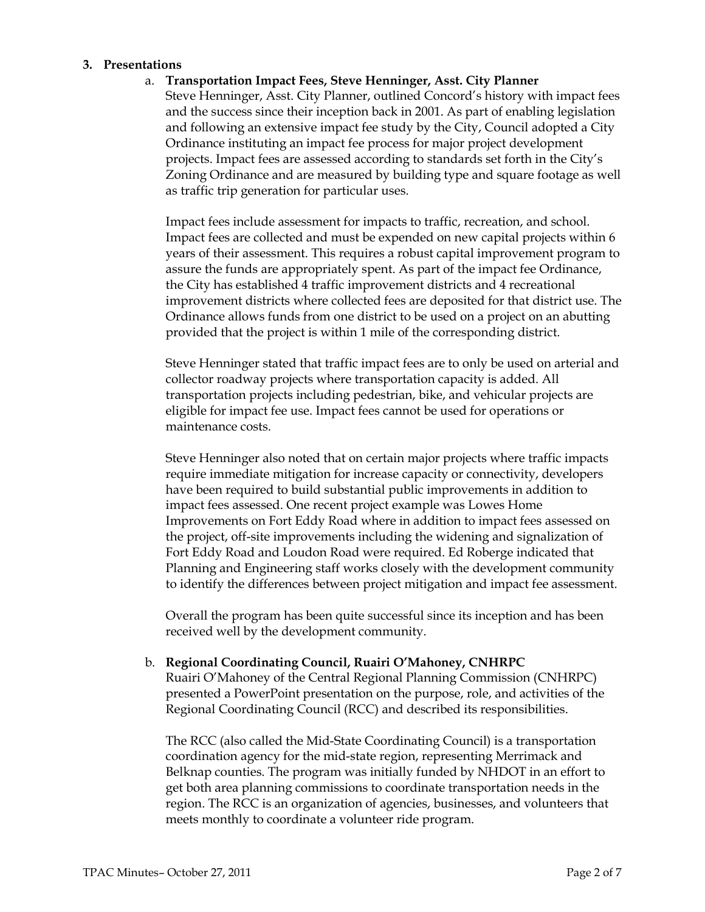#### 3. Presentations

#### a. Transportation Impact Fees, Steve Henninger, Asst. City Planner

Steve Henninger, Asst. City Planner, outlined Concord's history with impact fees and the success since their inception back in 2001. As part of enabling legislation and following an extensive impact fee study by the City, Council adopted a City Ordinance instituting an impact fee process for major project development projects. Impact fees are assessed according to standards set forth in the City's Zoning Ordinance and are measured by building type and square footage as well as traffic trip generation for particular uses.

Impact fees include assessment for impacts to traffic, recreation, and school. Impact fees are collected and must be expended on new capital projects within 6 years of their assessment. This requires a robust capital improvement program to assure the funds are appropriately spent. As part of the impact fee Ordinance, the City has established 4 traffic improvement districts and 4 recreational improvement districts where collected fees are deposited for that district use. The Ordinance allows funds from one district to be used on a project on an abutting provided that the project is within 1 mile of the corresponding district.

Steve Henninger stated that traffic impact fees are to only be used on arterial and collector roadway projects where transportation capacity is added. All transportation projects including pedestrian, bike, and vehicular projects are eligible for impact fee use. Impact fees cannot be used for operations or maintenance costs.

Steve Henninger also noted that on certain major projects where traffic impacts require immediate mitigation for increase capacity or connectivity, developers have been required to build substantial public improvements in addition to impact fees assessed. One recent project example was Lowes Home Improvements on Fort Eddy Road where in addition to impact fees assessed on the project, off-site improvements including the widening and signalization of Fort Eddy Road and Loudon Road were required. Ed Roberge indicated that Planning and Engineering staff works closely with the development community to identify the differences between project mitigation and impact fee assessment.

Overall the program has been quite successful since its inception and has been received well by the development community.

#### b. Regional Coordinating Council, Ruairi O'Mahoney, CNHRPC

Ruairi O'Mahoney of the Central Regional Planning Commission (CNHRPC) presented a PowerPoint presentation on the purpose, role, and activities of the Regional Coordinating Council (RCC) and described its responsibilities.

The RCC (also called the Mid-State Coordinating Council) is a transportation coordination agency for the mid-state region, representing Merrimack and Belknap counties. The program was initially funded by NHDOT in an effort to get both area planning commissions to coordinate transportation needs in the region. The RCC is an organization of agencies, businesses, and volunteers that meets monthly to coordinate a volunteer ride program.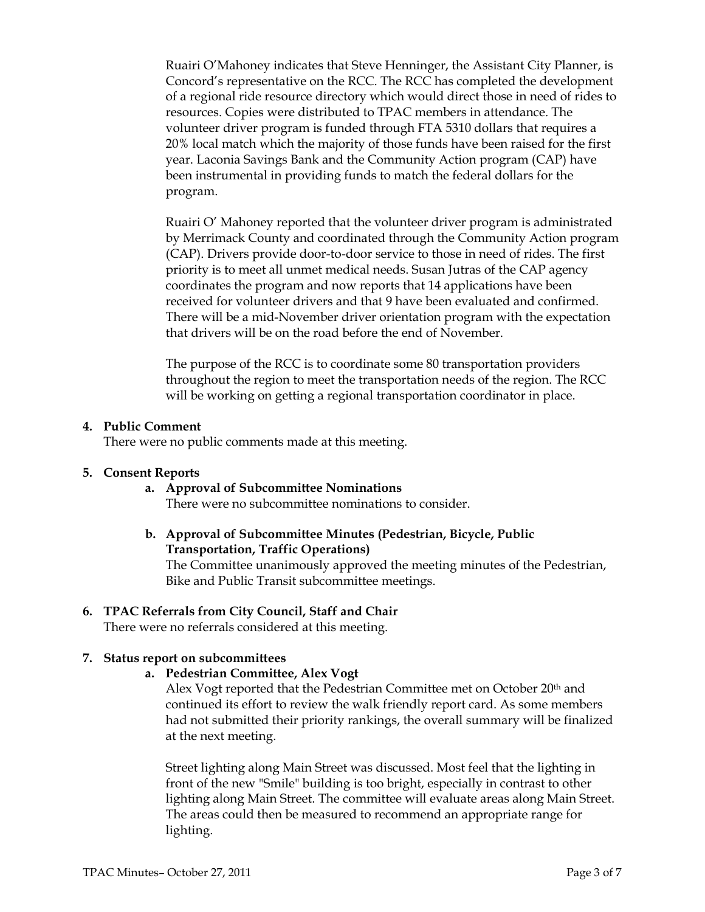Ruairi O'Mahoney indicates that Steve Henninger, the Assistant City Planner, is Concord's representative on the RCC. The RCC has completed the development of a regional ride resource directory which would direct those in need of rides to resources. Copies were distributed to TPAC members in attendance. The volunteer driver program is funded through FTA 5310 dollars that requires a 20% local match which the majority of those funds have been raised for the first year. Laconia Savings Bank and the Community Action program (CAP) have been instrumental in providing funds to match the federal dollars for the program.

Ruairi O' Mahoney reported that the volunteer driver program is administrated by Merrimack County and coordinated through the Community Action program (CAP). Drivers provide door-to-door service to those in need of rides. The first priority is to meet all unmet medical needs. Susan Jutras of the CAP agency coordinates the program and now reports that 14 applications have been received for volunteer drivers and that 9 have been evaluated and confirmed. There will be a mid-November driver orientation program with the expectation that drivers will be on the road before the end of November.

The purpose of the RCC is to coordinate some 80 transportation providers throughout the region to meet the transportation needs of the region. The RCC will be working on getting a regional transportation coordinator in place.

#### 4. Public Comment

There were no public comments made at this meeting.

#### 5. Consent Reports

- a. Approval of Subcommittee Nominations There were no subcommittee nominations to consider.
- b. Approval of Subcommittee Minutes (Pedestrian, Bicycle, Public Transportation, Traffic Operations)

The Committee unanimously approved the meeting minutes of the Pedestrian, Bike and Public Transit subcommittee meetings.

## 6. TPAC Referrals from City Council, Staff and Chair

There were no referrals considered at this meeting.

#### 7. Status report on subcommittees

a. Pedestrian Committee, Alex Vogt

Alex Vogt reported that the Pedestrian Committee met on October 20th and continued its effort to review the walk friendly report card. As some members had not submitted their priority rankings, the overall summary will be finalized at the next meeting.

Street lighting along Main Street was discussed. Most feel that the lighting in front of the new "Smile" building is too bright, especially in contrast to other lighting along Main Street. The committee will evaluate areas along Main Street. The areas could then be measured to recommend an appropriate range for lighting.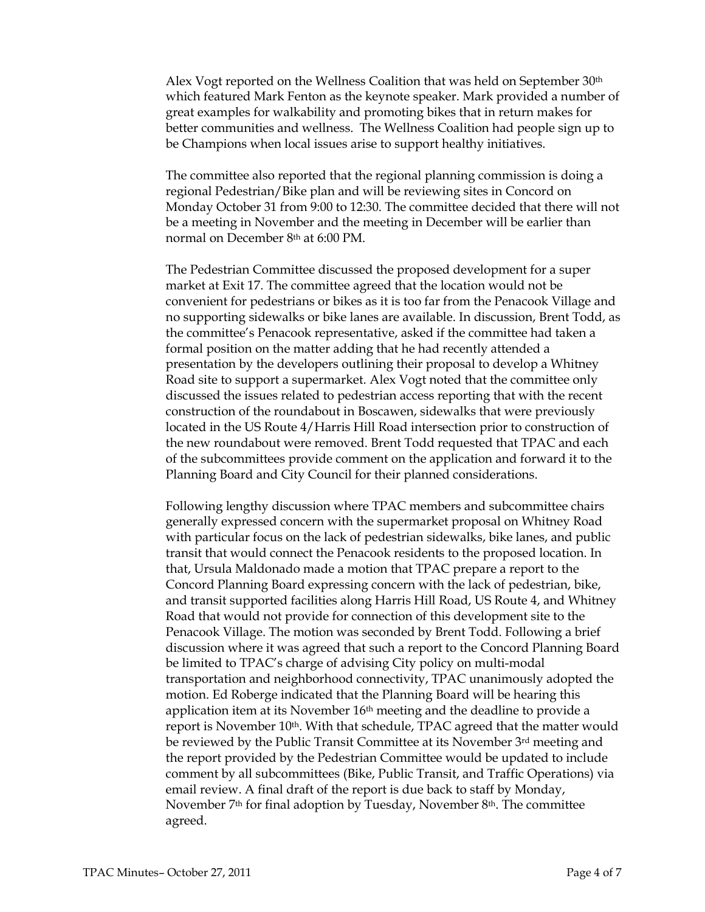Alex Vogt reported on the Wellness Coalition that was held on September 30th which featured Mark Fenton as the keynote speaker. Mark provided a number of great examples for walkability and promoting bikes that in return makes for better communities and wellness. The Wellness Coalition had people sign up to be Champions when local issues arise to support healthy initiatives.

The committee also reported that the regional planning commission is doing a regional Pedestrian/Bike plan and will be reviewing sites in Concord on Monday October 31 from 9:00 to 12:30. The committee decided that there will not be a meeting in November and the meeting in December will be earlier than normal on December 8th at 6:00 PM.

The Pedestrian Committee discussed the proposed development for a super market at Exit 17. The committee agreed that the location would not be convenient for pedestrians or bikes as it is too far from the Penacook Village and no supporting sidewalks or bike lanes are available. In discussion, Brent Todd, as the committee's Penacook representative, asked if the committee had taken a formal position on the matter adding that he had recently attended a presentation by the developers outlining their proposal to develop a Whitney Road site to support a supermarket. Alex Vogt noted that the committee only discussed the issues related to pedestrian access reporting that with the recent construction of the roundabout in Boscawen, sidewalks that were previously located in the US Route 4/Harris Hill Road intersection prior to construction of the new roundabout were removed. Brent Todd requested that TPAC and each of the subcommittees provide comment on the application and forward it to the Planning Board and City Council for their planned considerations.

Following lengthy discussion where TPAC members and subcommittee chairs generally expressed concern with the supermarket proposal on Whitney Road with particular focus on the lack of pedestrian sidewalks, bike lanes, and public transit that would connect the Penacook residents to the proposed location. In that, Ursula Maldonado made a motion that TPAC prepare a report to the Concord Planning Board expressing concern with the lack of pedestrian, bike, and transit supported facilities along Harris Hill Road, US Route 4, and Whitney Road that would not provide for connection of this development site to the Penacook Village. The motion was seconded by Brent Todd. Following a brief discussion where it was agreed that such a report to the Concord Planning Board be limited to TPAC's charge of advising City policy on multi-modal transportation and neighborhood connectivity, TPAC unanimously adopted the motion. Ed Roberge indicated that the Planning Board will be hearing this application item at its November  $16<sup>th</sup>$  meeting and the deadline to provide a report is November  $10<sup>th</sup>$ . With that schedule, TPAC agreed that the matter would be reviewed by the Public Transit Committee at its November 3rd meeting and the report provided by the Pedestrian Committee would be updated to include comment by all subcommittees (Bike, Public Transit, and Traffic Operations) via email review. A final draft of the report is due back to staff by Monday, November 7th for final adoption by Tuesday, November 8th. The committee agreed.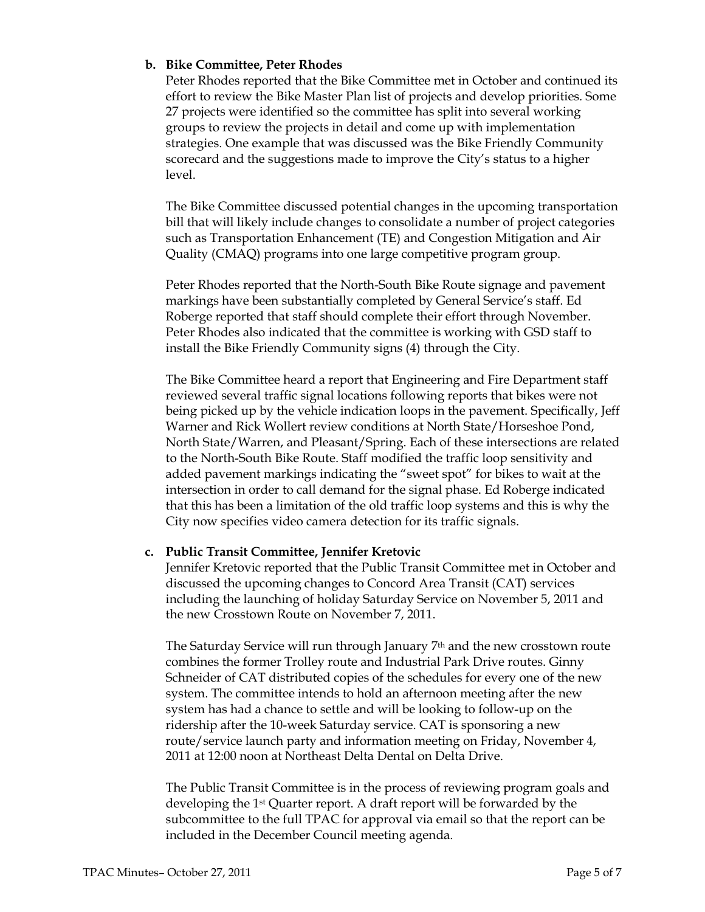## b. Bike Committee, Peter Rhodes

Peter Rhodes reported that the Bike Committee met in October and continued its effort to review the Bike Master Plan list of projects and develop priorities. Some 27 projects were identified so the committee has split into several working groups to review the projects in detail and come up with implementation strategies. One example that was discussed was the Bike Friendly Community scorecard and the suggestions made to improve the City's status to a higher level.

The Bike Committee discussed potential changes in the upcoming transportation bill that will likely include changes to consolidate a number of project categories such as Transportation Enhancement (TE) and Congestion Mitigation and Air Quality (CMAQ) programs into one large competitive program group.

Peter Rhodes reported that the North-South Bike Route signage and pavement markings have been substantially completed by General Service's staff. Ed Roberge reported that staff should complete their effort through November. Peter Rhodes also indicated that the committee is working with GSD staff to install the Bike Friendly Community signs (4) through the City.

The Bike Committee heard a report that Engineering and Fire Department staff reviewed several traffic signal locations following reports that bikes were not being picked up by the vehicle indication loops in the pavement. Specifically, Jeff Warner and Rick Wollert review conditions at North State/Horseshoe Pond, North State/Warren, and Pleasant/Spring. Each of these intersections are related to the North-South Bike Route. Staff modified the traffic loop sensitivity and added pavement markings indicating the "sweet spot" for bikes to wait at the intersection in order to call demand for the signal phase. Ed Roberge indicated that this has been a limitation of the old traffic loop systems and this is why the City now specifies video camera detection for its traffic signals.

## c. Public Transit Committee, Jennifer Kretovic

Jennifer Kretovic reported that the Public Transit Committee met in October and discussed the upcoming changes to Concord Area Transit (CAT) services including the launching of holiday Saturday Service on November 5, 2011 and the new Crosstown Route on November 7, 2011.

The Saturday Service will run through January 7th and the new crosstown route combines the former Trolley route and Industrial Park Drive routes. Ginny Schneider of CAT distributed copies of the schedules for every one of the new system. The committee intends to hold an afternoon meeting after the new system has had a chance to settle and will be looking to follow-up on the ridership after the 10-week Saturday service. CAT is sponsoring a new route/service launch party and information meeting on Friday, November 4, 2011 at 12:00 noon at Northeast Delta Dental on Delta Drive.

The Public Transit Committee is in the process of reviewing program goals and developing the 1st Quarter report. A draft report will be forwarded by the subcommittee to the full TPAC for approval via email so that the report can be included in the December Council meeting agenda.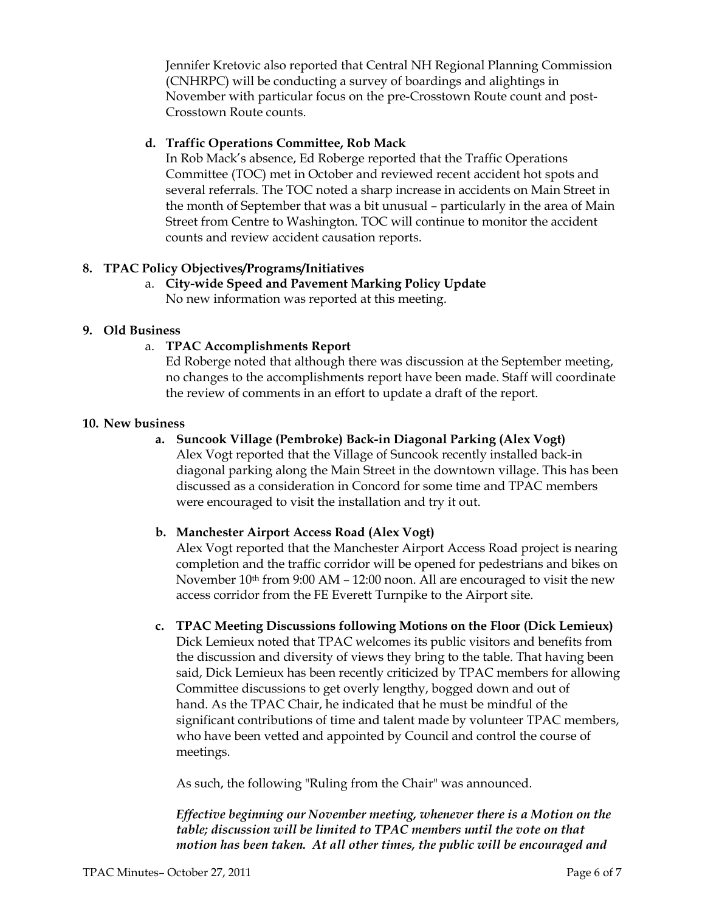Jennifer Kretovic also reported that Central NH Regional Planning Commission (CNHRPC) will be conducting a survey of boardings and alightings in November with particular focus on the pre-Crosstown Route count and post-Crosstown Route counts.

## d. Traffic Operations Committee, Rob Mack

In Rob Mack's absence, Ed Roberge reported that the Traffic Operations Committee (TOC) met in October and reviewed recent accident hot spots and several referrals. The TOC noted a sharp increase in accidents on Main Street in the month of September that was a bit unusual – particularly in the area of Main Street from Centre to Washington. TOC will continue to monitor the accident counts and review accident causation reports.

## 8. TPAC Policy Objectives/Programs/Initiatives

a. City-wide Speed and Pavement Marking Policy Update No new information was reported at this meeting.

#### 9. Old Business

## a. TPAC Accomplishments Report

Ed Roberge noted that although there was discussion at the September meeting, no changes to the accomplishments report have been made. Staff will coordinate the review of comments in an effort to update a draft of the report.

#### 10. New business

## a. Suncook Village (Pembroke) Back-in Diagonal Parking (Alex Vogt)

Alex Vogt reported that the Village of Suncook recently installed back-in diagonal parking along the Main Street in the downtown village. This has been discussed as a consideration in Concord for some time and TPAC members were encouraged to visit the installation and try it out.

## b. Manchester Airport Access Road (Alex Vogt)

Alex Vogt reported that the Manchester Airport Access Road project is nearing completion and the traffic corridor will be opened for pedestrians and bikes on November  $10^{th}$  from 9:00 AM – 12:00 noon. All are encouraged to visit the new access corridor from the FE Everett Turnpike to the Airport site.

c. TPAC Meeting Discussions following Motions on the Floor (Dick Lemieux) Dick Lemieux noted that TPAC welcomes its public visitors and benefits from the discussion and diversity of views they bring to the table. That having been said, Dick Lemieux has been recently criticized by TPAC members for allowing Committee discussions to get overly lengthy, bogged down and out of hand. As the TPAC Chair, he indicated that he must be mindful of the significant contributions of time and talent made by volunteer TPAC members, who have been vetted and appointed by Council and control the course of meetings.

As such, the following "Ruling from the Chair" was announced.

Effective beginning our November meeting, whenever there is a Motion on the table; discussion will be limited to TPAC members until the vote on that motion has been taken. At all other times, the public will be encouraged and